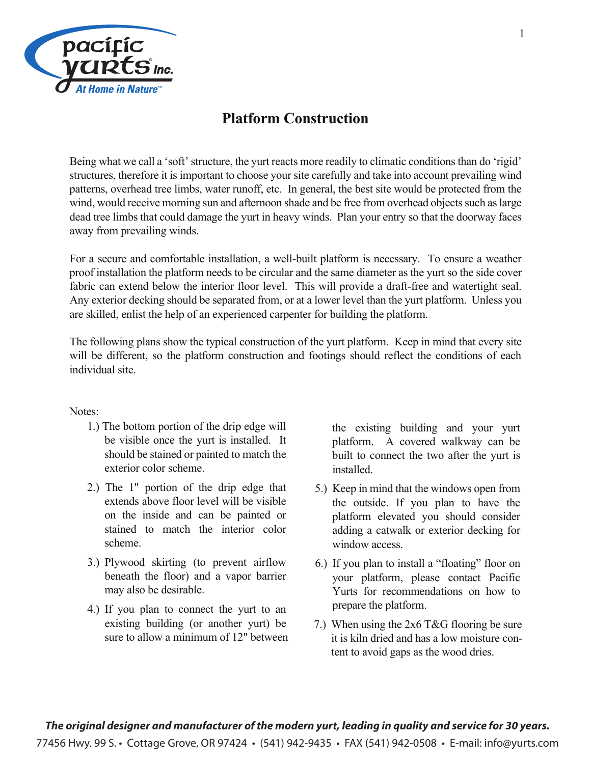

#### **Platform Construction**

Being what we call a 'soft' structure, the yurt reacts more readily to climatic conditions than do 'rigid' structures, therefore it is important to choose your site carefully and take into account prevailing wind patterns, overhead tree limbs, water runoff, etc. In general, the best site would be protected from the wind, would receive morning sun and afternoon shade and be free from overhead objects such as large dead tree limbs that could damage the yurt in heavy winds. Plan your entry so that the doorway faces away from prevailing winds.

For a secure and comfortable installation, a well-built platform is necessary. To ensure a weather proof installation the platform needs to be circular and the same diameter as the yurt so the side cover fabric can extend below the interior floor level. This will provide a draft-free and watertight seal. Any exterior decking should be separated from, or at a lower level than the yurt platform. Unless you are skilled, enlist the help of an experienced carpenter for building the platform.

The following plans show the typical construction of the yurt platform. Keep in mind that every site will be different, so the platform construction and footings should reflect the conditions of each individual site.

#### Notes:

- 1.) The bottom portion of the drip edge will be visible once the yurt is installed. It should be stained or painted to match the exterior color scheme.
- 2.) The 1" portion of the drip edge that extends above floor level will be visible on the inside and can be painted or stained to match the interior color scheme.
- 3.) Plywood skirting (to prevent airflow beneath the floor) and a vapor barrier may also be desirable.
- 4.) If you plan to connect the yurt to an existing building (or another yurt) be sure to allow a minimum of 12" between

the existing building and your yurt platform. A covered walkway can be built to connect the two after the yurt is installed.

- 5.) Keep in mind that the windows open from the outside. If you plan to have the platform elevated you should consider adding a catwalk or exterior decking for window access.
- 6.) If you plan to install a "floating" floor on your platform, please contact Pacific Yurts for recommendations on how to prepare the platform.
- 7.) When using the 2x6 T&G flooring be sure it is kiln dried and has a low moisture content to avoid gaps as the wood dries.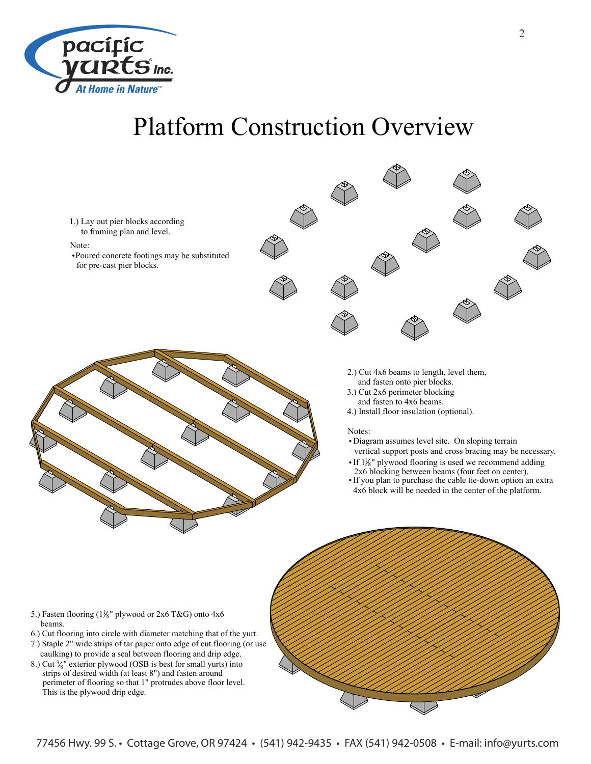

## Platform Construction Overview



- 
- 6.) Cut flooring into circle with diameter matching that of the yurt.
- 7.) Staple 2" wide strips of tar paper onto edge of cut flooring (or use caulking) to provide a seal between flooring and drip edge.
- 8.) Cut  $\frac{3}{8}$ " exterior plywood (OSB is best for small yurts) into strips of desired width (at least 8") and fasten around perimeter of flooring so that 1" protrudes above floor level. This is the plywood drip edge.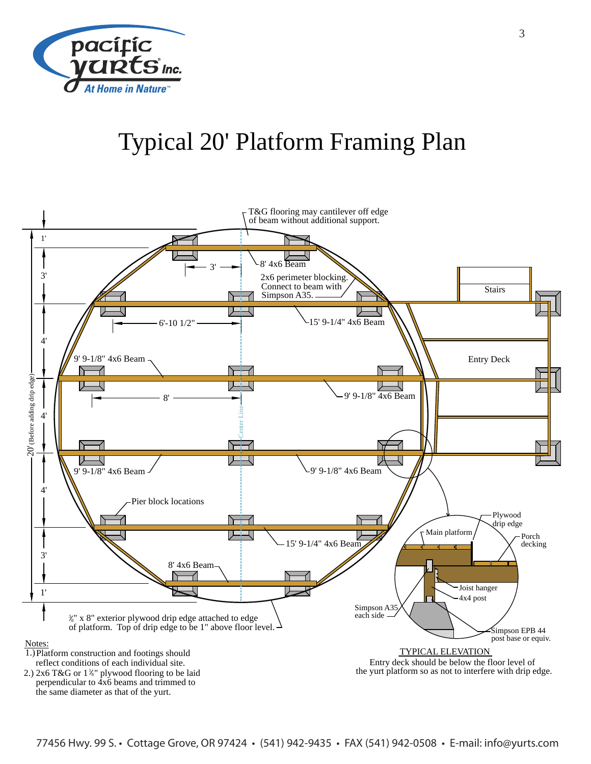

# Typical 20' Platform Framing Plan

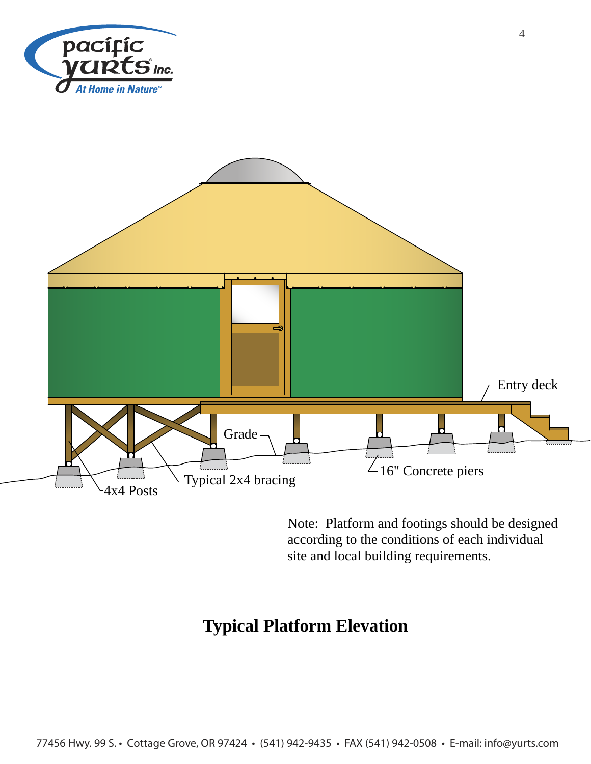



Note: Platform and footings should be designed according to the conditions of each individual site and local building requirements.

#### **Typical Platform Elevation**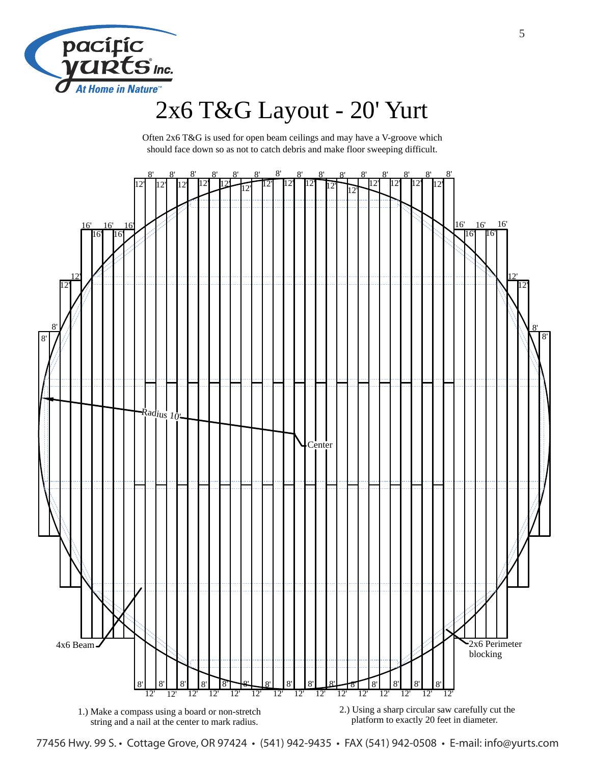

## 2x6 T&G Layout - 20' Yurt

Often 2x6 T&G is used for open beam ceilings and may have a V-groove which should face down so as not to catch debris and make floor sweeping difficult.



77456 Hwy. 99 S. • Cottage Grove, OR 97424 • (541) 942-9435 • FAX (541) 942-0508 • E-mail: info@yurts.com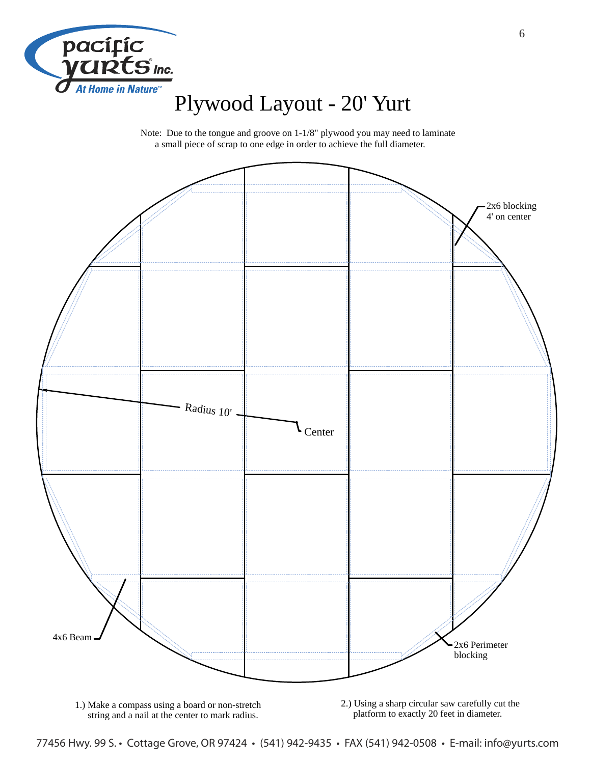

### Plywood Layout - 20' Yurt

Note: Due to the tongue and groove on 1-1/8" plywood you may need to laminate a small piece of scrap to one edge in order to achieve the full diameter.



1.) Make a compass using a board or non-stretch string and a nail at the center to mark radius.

2.) Using a sharp circular saw carefully cut the platform to exactly 20 feet in diameter.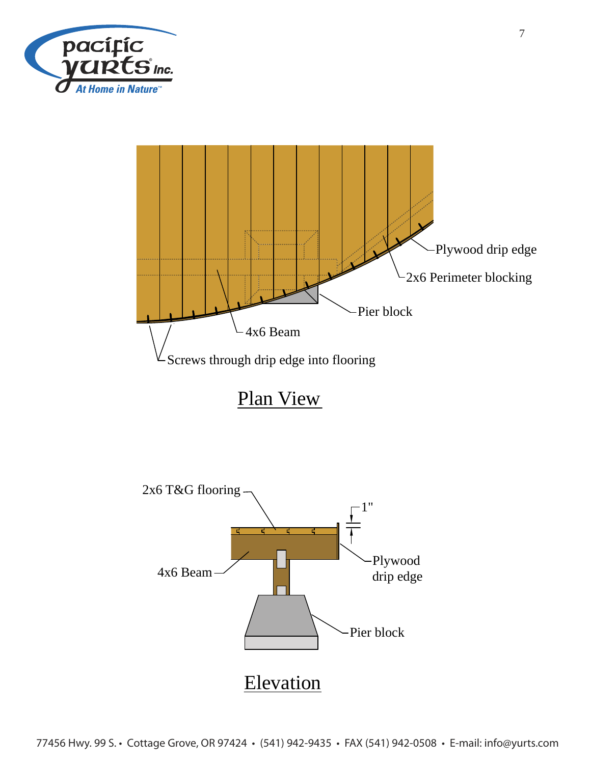



Plan View